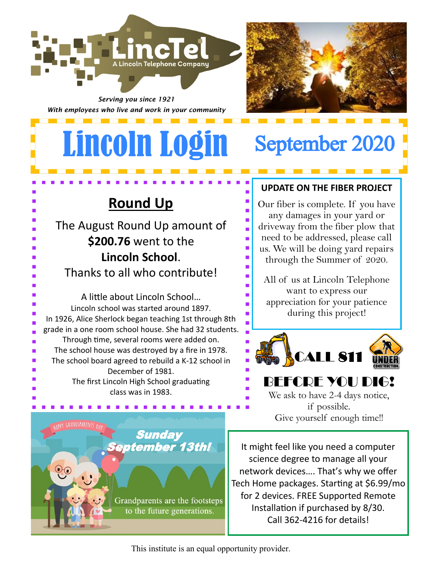

*Serving you since 1921 With employees who live and work in your community*

## Lincoln Login September 2020

### **Round Up**

The August Round Up amount of **\$200.76** went to the **Lincoln School**.

Thanks to all who contribute!

A little about Lincoln School… Lincoln school was started around 1897. In 1926, Alice Sherlock began teaching 1st through 8th grade in a one room school house. She had 32 students. Through time, several rooms were added on. The school house was destroyed by a fire in 1978. The school board agreed to rebuild a K-12 school in December of 1981. The first Lincoln High School graduating class was in 1983.

**UPDATE ON THE FIBER PROJECT**

Our fiber is complete. If you have any damages in your yard or driveway from the fiber plow that need to be addressed, please call us. We will be doing yard repairs through the Summer of 2020.

All of us at Lincoln Telephone want to express our appreciation for your patience during this project!



#### BEFCRE YOU DIG! We ask to have 2-4 days notice, if possible.

Give yourself enough time!!



It might feel like you need a computer science degree to manage all your network devices…. That's why we offer Tech Home packages. Starting at \$6.99/mo for 2 devices. FREE Supported Remote Installation if purchased by 8/30. Call 362-4216 for details!

This institute is an equal opportunity provider.